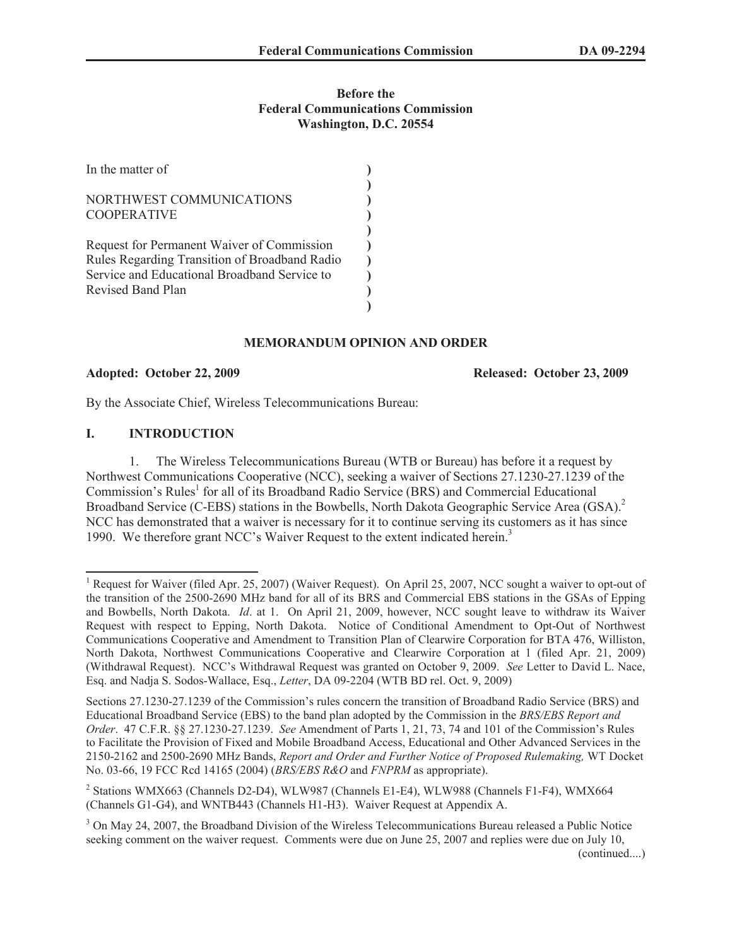### **Before the Federal Communications Commission Washington, D.C. 20554**

| In the matter of                                                                                                                                                 |  |
|------------------------------------------------------------------------------------------------------------------------------------------------------------------|--|
| NORTHWEST COMMUNICATIONS<br><b>COOPERATIVE</b>                                                                                                                   |  |
| Request for Permanent Waiver of Commission<br>Rules Regarding Transition of Broadband Radio<br>Service and Educational Broadband Service to<br>Revised Band Plan |  |

### **MEMORANDUM OPINION AND ORDER**

#### **Adopted: October 22, 2009 Released: October 23, 2009**

By the Associate Chief, Wireless Telecommunications Bureau:

## **I. INTRODUCTION**

1. The Wireless Telecommunications Bureau (WTB or Bureau) has before it a request by Northwest Communications Cooperative (NCC), seeking a waiver of Sections 27.1230-27.1239 of the Commission's Rules<sup>1</sup> for all of its Broadband Radio Service (BRS) and Commercial Educational Broadband Service (C-EBS) stations in the Bowbells, North Dakota Geographic Service Area (GSA).<sup>2</sup> NCC has demonstrated that a waiver is necessary for it to continue serving its customers as it has since 1990. We therefore grant NCC's Waiver Request to the extent indicated herein.<sup>3</sup>

<sup>&</sup>lt;sup>1</sup> Request for Waiver (filed Apr. 25, 2007) (Waiver Request). On April 25, 2007, NCC sought a waiver to opt-out of the transition of the 2500-2690 MHz band for all of its BRS and Commercial EBS stations in the GSAs of Epping and Bowbells, North Dakota. *Id*. at 1. On April 21, 2009, however, NCC sought leave to withdraw its Waiver Request with respect to Epping, North Dakota. Notice of Conditional Amendment to Opt-Out of Northwest Communications Cooperative and Amendment to Transition Plan of Clearwire Corporation for BTA 476, Williston, North Dakota, Northwest Communications Cooperative and Clearwire Corporation at 1 (filed Apr. 21, 2009) (Withdrawal Request). NCC's Withdrawal Request was granted on October 9, 2009. *See* Letter to David L. Nace, Esq. and Nadja S. Sodos-Wallace, Esq., *Letter*, DA 09-2204 (WTB BD rel. Oct. 9, 2009)

Sections 27.1230-27.1239 of the Commission's rules concern the transition of Broadband Radio Service (BRS) and Educational Broadband Service (EBS) to the band plan adopted by the Commission in the *BRS/EBS Report and Order*. 47 C.F.R. §§ 27.1230-27.1239. *See* Amendment of Parts 1, 21, 73, 74 and 101 of the Commission's Rules to Facilitate the Provision of Fixed and Mobile Broadband Access, Educational and Other Advanced Services in the 2150-2162 and 2500-2690 MHz Bands, *Report and Order and Further Notice of Proposed Rulemaking,* WT Docket No. 03-66, 19 FCC Rcd 14165 (2004) (*BRS/EBS R&O* and *FNPRM* as appropriate).

<sup>&</sup>lt;sup>2</sup> Stations WMX663 (Channels D2-D4), WLW987 (Channels E1-E4), WLW988 (Channels F1-F4), WMX664 (Channels G1-G4), and WNTB443 (Channels H1-H3). Waiver Request at Appendix A.

<sup>&</sup>lt;sup>3</sup> On May 24, 2007, the Broadband Division of the Wireless Telecommunications Bureau released a Public Notice seeking comment on the waiver request. Comments were due on June 25, 2007 and replies were due on July 10,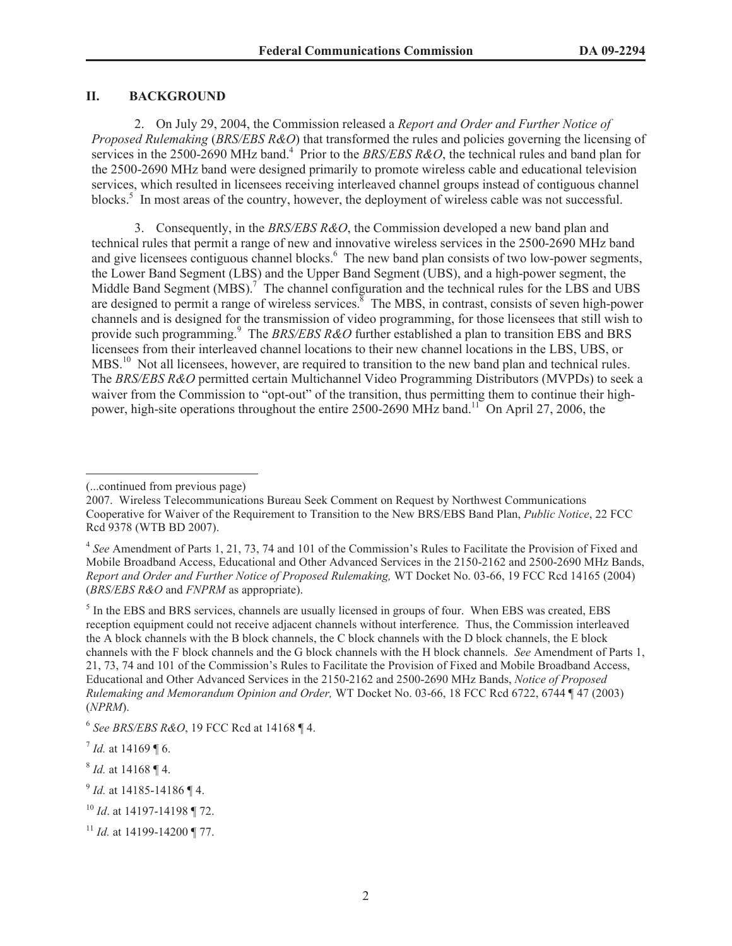## **II. BACKGROUND**

2. On July 29, 2004, the Commission released a *Report and Order and Further Notice of Proposed Rulemaking* (*BRS/EBS R&O*) that transformed the rules and policies governing the licensing of services in the 2500-2690 MHz band.<sup>4</sup> Prior to the *BRS/EBS R&O*, the technical rules and band plan for the 2500-2690 MHz band were designed primarily to promote wireless cable and educational television services, which resulted in licensees receiving interleaved channel groups instead of contiguous channel blocks.<sup>5</sup> In most areas of the country, however, the deployment of wireless cable was not successful.

3. Consequently, in the *BRS/EBS R&O*, the Commission developed a new band plan and technical rules that permit a range of new and innovative wireless services in the 2500-2690 MHz band and give licensees contiguous channel blocks.<sup>6</sup> The new band plan consists of two low-power segments, the Lower Band Segment (LBS) and the Upper Band Segment (UBS), and a high-power segment, the Middle Band Segment (MBS).<sup>7</sup> The channel configuration and the technical rules for the LBS and UBS are designed to permit a range of wireless services.<sup>8</sup> The MBS, in contrast, consists of seven high-power channels and is designed for the transmission of video programming, for those licensees that still wish to provide such programming.<sup>9</sup> The *BRS/EBS R&O* further established a plan to transition EBS and BRS licensees from their interleaved channel locations to their new channel locations in the LBS, UBS, or MBS.<sup>10</sup> Not all licensees, however, are required to transition to the new band plan and technical rules. The *BRS/EBS R&O* permitted certain Multichannel Video Programming Distributors (MVPDs) to seek a waiver from the Commission to "opt-out" of the transition, thus permitting them to continue their highpower, high-site operations throughout the entire 2500-2690 MHz band.<sup>11</sup> On April 27, 2006, the

<sup>(...</sup>continued from previous page)

<sup>2007.</sup> Wireless Telecommunications Bureau Seek Comment on Request by Northwest Communications Cooperative for Waiver of the Requirement to Transition to the New BRS/EBS Band Plan, *Public Notice*, 22 FCC Rcd 9378 (WTB BD 2007).

<sup>&</sup>lt;sup>4</sup> See Amendment of Parts 1, 21, 73, 74 and 101 of the Commission's Rules to Facilitate the Provision of Fixed and Mobile Broadband Access, Educational and Other Advanced Services in the 2150-2162 and 2500-2690 MHz Bands, *Report and Order and Further Notice of Proposed Rulemaking,* WT Docket No. 03-66, 19 FCC Rcd 14165 (2004) (*BRS/EBS R&O* and *FNPRM* as appropriate).

<sup>&</sup>lt;sup>5</sup> In the EBS and BRS services, channels are usually licensed in groups of four. When EBS was created, EBS reception equipment could not receive adjacent channels without interference. Thus, the Commission interleaved the A block channels with the B block channels, the C block channels with the D block channels, the E block channels with the F block channels and the G block channels with the H block channels. *See* Amendment of Parts 1, 21, 73, 74 and 101 of the Commission's Rules to Facilitate the Provision of Fixed and Mobile Broadband Access, Educational and Other Advanced Services in the 2150-2162 and 2500-2690 MHz Bands, *Notice of Proposed Rulemaking and Memorandum Opinion and Order,* WT Docket No. 03-66, 18 FCC Rcd 6722, 6744 ¶ 47 (2003) (*NPRM*).

<sup>6</sup> *See BRS/EBS R&O*, 19 FCC Rcd at 14168 ¶ 4.

 $^{7}$  *Id.* at 14169 ¶ 6.

<sup>8</sup> *Id.* at 14168 ¶ 4.

<sup>9</sup> *Id.* at 14185-14186 ¶ 4.

<sup>10</sup> *Id*. at 14197-14198 ¶ 72.

<sup>&</sup>lt;sup>11</sup> *Id.* at 14199-14200 ¶ 77.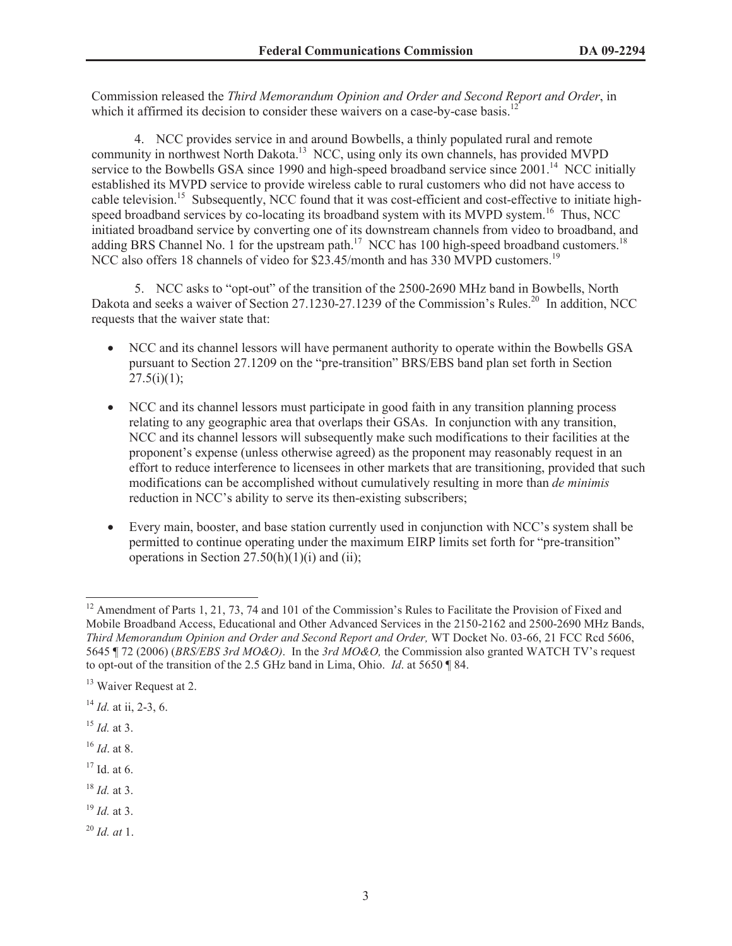Commission released the *Third Memorandum Opinion and Order and Second Report and Order*, in which it affirmed its decision to consider these waivers on a case-by-case basis.<sup>12</sup>

4. NCC provides service in and around Bowbells, a thinly populated rural and remote community in northwest North Dakota.<sup>13</sup> NCC, using only its own channels, has provided MVPD service to the Bowbells GSA since 1990 and high-speed broadband service since 2001.<sup>14</sup> NCC initially established its MVPD service to provide wireless cable to rural customers who did not have access to cable television.<sup>15</sup> Subsequently, NCC found that it was cost-efficient and cost-effective to initiate highspeed broadband services by co-locating its broadband system with its MVPD system.<sup>16</sup> Thus, NCC initiated broadband service by converting one of its downstream channels from video to broadband, and adding BRS Channel No. 1 for the upstream path.<sup>17</sup> NCC has 100 high-speed broadband customers.<sup>18</sup> NCC also offers 18 channels of video for \$23.45/month and has 330 MVPD customers.<sup>19</sup>

5. NCC asks to "opt-out" of the transition of the 2500-2690 MHz band in Bowbells, North Dakota and seeks a waiver of Section 27.1230-27.1239 of the Commission's Rules.<sup>20</sup> In addition, NCC requests that the waiver state that:

- · NCC and its channel lessors will have permanent authority to operate within the Bowbells GSA pursuant to Section 27.1209 on the "pre-transition" BRS/EBS band plan set forth in Section  $27.5(i)(1)$ ;
- · NCC and its channel lessors must participate in good faith in any transition planning process relating to any geographic area that overlaps their GSAs. In conjunction with any transition, NCC and its channel lessors will subsequently make such modifications to their facilities at the proponent's expense (unless otherwise agreed) as the proponent may reasonably request in an effort to reduce interference to licensees in other markets that are transitioning, provided that such modifications can be accomplished without cumulatively resulting in more than *de minimis* reduction in NCC's ability to serve its then-existing subscribers;
- · Every main, booster, and base station currently used in conjunction with NCC's system shall be permitted to continue operating under the maximum EIRP limits set forth for "pre-transition" operations in Section  $27.50(h)(1)(i)$  and (ii);

<sup>16</sup> *Id*. at 8.

 $17$  Id. at 6.

- <sup>18</sup> *Id.* at 3.
- <sup>19</sup> *Id.* at 3.
- <sup>20</sup> *Id. at* 1.

<sup>&</sup>lt;sup>12</sup> Amendment of Parts 1, 21, 73, 74 and 101 of the Commission's Rules to Facilitate the Provision of Fixed and Mobile Broadband Access, Educational and Other Advanced Services in the 2150-2162 and 2500-2690 MHz Bands, *Third Memorandum Opinion and Order and Second Report and Order,* WT Docket No. 03-66, 21 FCC Rcd 5606, 5645 ¶ 72 (2006) (*BRS/EBS 3rd MO&O)*. In the *3rd MO&O,* the Commission also granted WATCH TV's request to opt-out of the transition of the 2.5 GHz band in Lima, Ohio. *Id*. at 5650 ¶ 84.

<sup>&</sup>lt;sup>13</sup> Waiver Request at 2.

<sup>14</sup> *Id.* at ii, 2-3, 6.

<sup>15</sup> *Id.* at 3.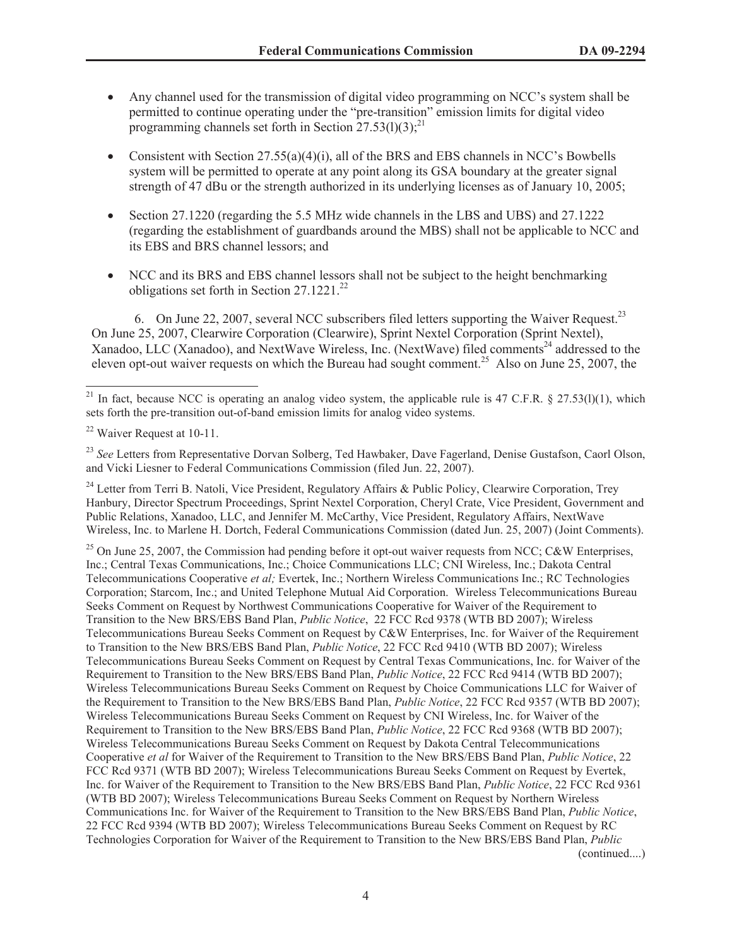- · Any channel used for the transmission of digital video programming on NCC's system shall be permitted to continue operating under the "pre-transition" emission limits for digital video programming channels set forth in Section  $27.53(1)(3)$ ;<sup>21</sup>
- Consistent with Section  $27.55(a)(4)(i)$ , all of the BRS and EBS channels in NCC's Bowbells system will be permitted to operate at any point along its GSA boundary at the greater signal strength of 47 dBu or the strength authorized in its underlying licenses as of January 10, 2005;
- · Section 27.1220 (regarding the 5.5 MHz wide channels in the LBS and UBS) and 27.1222 (regarding the establishment of guardbands around the MBS) shall not be applicable to NCC and its EBS and BRS channel lessors; and
- · NCC and its BRS and EBS channel lessors shall not be subject to the height benchmarking obligations set forth in Section  $27.1221^{22}$

6. On June 22, 2007, several NCC subscribers filed letters supporting the Waiver Request.<sup>23</sup> On June 25, 2007, Clearwire Corporation (Clearwire), Sprint Nextel Corporation (Sprint Nextel), Xanadoo, LLC (Xanadoo), and NextWave Wireless, Inc. (NextWave) filed comments<sup>24</sup> addressed to the eleven opt-out waiver requests on which the Bureau had sought comment.<sup>25</sup> Also on June 25, 2007, the

<sup>25</sup> On June 25, 2007, the Commission had pending before it opt-out waiver requests from NCC; C&W Enterprises, Inc.; Central Texas Communications, Inc.; Choice Communications LLC; CNI Wireless, Inc.; Dakota Central Telecommunications Cooperative *et al;* Evertek, Inc.; Northern Wireless Communications Inc.; RC Technologies Corporation; Starcom, Inc.; and United Telephone Mutual Aid Corporation. Wireless Telecommunications Bureau Seeks Comment on Request by Northwest Communications Cooperative for Waiver of the Requirement to Transition to the New BRS/EBS Band Plan, *Public Notice*, 22 FCC Rcd 9378 (WTB BD 2007); Wireless Telecommunications Bureau Seeks Comment on Request by C&W Enterprises, Inc. for Waiver of the Requirement to Transition to the New BRS/EBS Band Plan, *Public Notice*, 22 FCC Rcd 9410 (WTB BD 2007); Wireless Telecommunications Bureau Seeks Comment on Request by Central Texas Communications, Inc. for Waiver of the Requirement to Transition to the New BRS/EBS Band Plan, *Public Notice*, 22 FCC Rcd 9414 (WTB BD 2007); Wireless Telecommunications Bureau Seeks Comment on Request by Choice Communications LLC for Waiver of the Requirement to Transition to the New BRS/EBS Band Plan, *Public Notice*, 22 FCC Rcd 9357 (WTB BD 2007); Wireless Telecommunications Bureau Seeks Comment on Request by CNI Wireless, Inc. for Waiver of the Requirement to Transition to the New BRS/EBS Band Plan, *Public Notice*, 22 FCC Rcd 9368 (WTB BD 2007); Wireless Telecommunications Bureau Seeks Comment on Request by Dakota Central Telecommunications Cooperative *et al* for Waiver of the Requirement to Transition to the New BRS/EBS Band Plan, *Public Notice*, 22 FCC Rcd 9371 (WTB BD 2007); Wireless Telecommunications Bureau Seeks Comment on Request by Evertek, Inc. for Waiver of the Requirement to Transition to the New BRS/EBS Band Plan, *Public Notice*, 22 FCC Rcd 9361 (WTB BD 2007); Wireless Telecommunications Bureau Seeks Comment on Request by Northern Wireless Communications Inc. for Waiver of the Requirement to Transition to the New BRS/EBS Band Plan, *Public Notice*, 22 FCC Rcd 9394 (WTB BD 2007); Wireless Telecommunications Bureau Seeks Comment on Request by RC Technologies Corporation for Waiver of the Requirement to Transition to the New BRS/EBS Band Plan, *Public*  (continued....)

<sup>&</sup>lt;sup>21</sup> In fact, because NCC is operating an analog video system, the applicable rule is 47 C.F.R. § 27.53(l)(1), which sets forth the pre-transition out-of-band emission limits for analog video systems.

<sup>22</sup> Waiver Request at 10-11.

<sup>&</sup>lt;sup>23</sup> See Letters from Representative Dorvan Solberg, Ted Hawbaker, Dave Fagerland, Denise Gustafson, Caorl Olson, and Vicki Liesner to Federal Communications Commission (filed Jun. 22, 2007).

<sup>&</sup>lt;sup>24</sup> Letter from Terri B. Natoli, Vice President, Regulatory Affairs & Public Policy, Clearwire Corporation, Trey Hanbury, Director Spectrum Proceedings, Sprint Nextel Corporation, Cheryl Crate, Vice President, Government and Public Relations, Xanadoo, LLC, and Jennifer M. McCarthy, Vice President, Regulatory Affairs, NextWave Wireless, Inc. to Marlene H. Dortch, Federal Communications Commission (dated Jun. 25, 2007) (Joint Comments).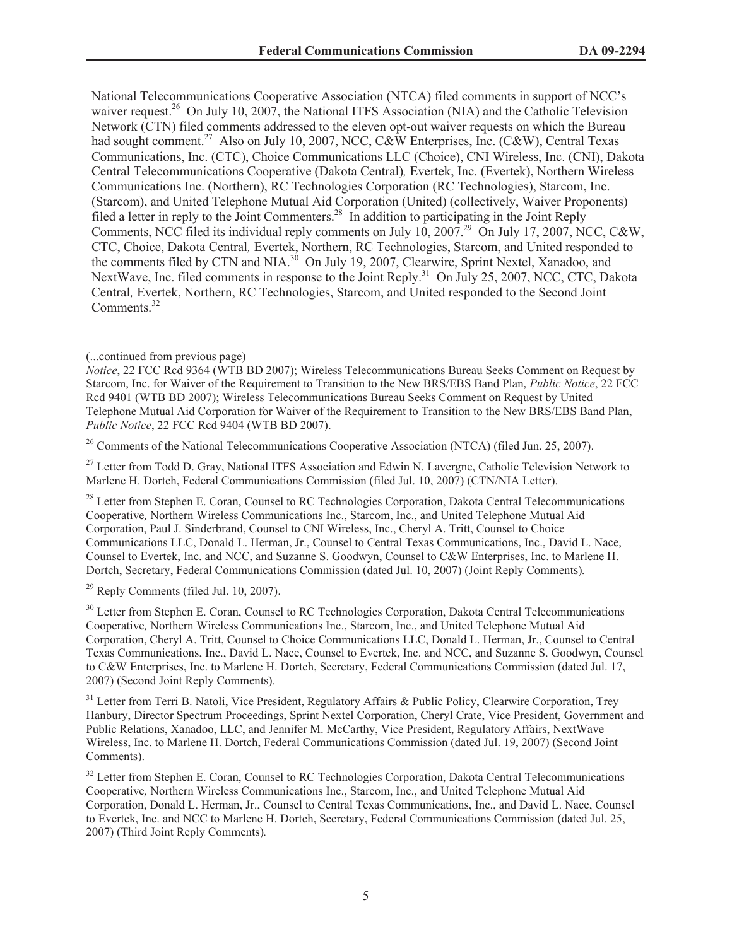National Telecommunications Cooperative Association (NTCA) filed comments in support of NCC's waiver request.<sup>26</sup> On July 10, 2007, the National ITFS Association (NIA) and the Catholic Television Network (CTN) filed comments addressed to the eleven opt-out waiver requests on which the Bureau had sought comment.<sup>27</sup> Also on July 10, 2007, NCC,  $C&\&W$  Enterprises, Inc. ( $C&W$ ), Central Texas Communications, Inc. (CTC), Choice Communications LLC (Choice), CNI Wireless, Inc. (CNI), Dakota Central Telecommunications Cooperative (Dakota Central)*,* Evertek, Inc. (Evertek), Northern Wireless Communications Inc. (Northern), RC Technologies Corporation (RC Technologies), Starcom, Inc. (Starcom), and United Telephone Mutual Aid Corporation (United) (collectively, Waiver Proponents) filed a letter in reply to the Joint Commenters.<sup>28</sup> In addition to participating in the Joint Reply Comments, NCC filed its individual reply comments on July 10, 2007.<sup>29</sup> On July 17, 2007, NCC, C&W, CTC, Choice, Dakota Central*,* Evertek, Northern, RC Technologies, Starcom, and United responded to the comments filed by CTN and NIA.<sup>30</sup> On July 19, 2007, Clearwire, Sprint Nextel, Xanadoo, and NextWave, Inc. filed comments in response to the Joint Reply.<sup>31</sup> On July 25, 2007, NCC, CTC, Dakota Central*,* Evertek, Northern, RC Technologies, Starcom, and United responded to the Second Joint Comments.<sup>32</sup>

<sup>26</sup> Comments of the National Telecommunications Cooperative Association (NTCA) (filed Jun. 25, 2007).

<sup>27</sup> Letter from Todd D. Gray, National ITFS Association and Edwin N. Lavergne, Catholic Television Network to Marlene H. Dortch, Federal Communications Commission (filed Jul. 10, 2007) (CTN/NIA Letter).

<sup>28</sup> Letter from Stephen E. Coran, Counsel to RC Technologies Corporation, Dakota Central Telecommunications Cooperative*,* Northern Wireless Communications Inc., Starcom, Inc., and United Telephone Mutual Aid Corporation, Paul J. Sinderbrand, Counsel to CNI Wireless, Inc., Cheryl A. Tritt, Counsel to Choice Communications LLC, Donald L. Herman, Jr., Counsel to Central Texas Communications, Inc., David L. Nace, Counsel to Evertek, Inc. and NCC, and Suzanne S. Goodwyn, Counsel to C&W Enterprises, Inc. to Marlene H. Dortch, Secretary, Federal Communications Commission (dated Jul. 10, 2007) (Joint Reply Comments)*.*

 $29$  Reply Comments (filed Jul. 10, 2007).

<sup>30</sup> Letter from Stephen E. Coran, Counsel to RC Technologies Corporation, Dakota Central Telecommunications Cooperative*,* Northern Wireless Communications Inc., Starcom, Inc., and United Telephone Mutual Aid Corporation, Cheryl A. Tritt, Counsel to Choice Communications LLC, Donald L. Herman, Jr., Counsel to Central Texas Communications, Inc., David L. Nace, Counsel to Evertek, Inc. and NCC, and Suzanne S. Goodwyn, Counsel to C&W Enterprises, Inc. to Marlene H. Dortch, Secretary, Federal Communications Commission (dated Jul. 17, 2007) (Second Joint Reply Comments)*.*

<sup>31</sup> Letter from Terri B. Natoli, Vice President, Regulatory Affairs & Public Policy, Clearwire Corporation, Trey Hanbury, Director Spectrum Proceedings, Sprint Nextel Corporation, Cheryl Crate, Vice President, Government and Public Relations, Xanadoo, LLC, and Jennifer M. McCarthy, Vice President, Regulatory Affairs, NextWave Wireless, Inc. to Marlene H. Dortch, Federal Communications Commission (dated Jul. 19, 2007) (Second Joint Comments).

<sup>32</sup> Letter from Stephen E. Coran, Counsel to RC Technologies Corporation, Dakota Central Telecommunications Cooperative*,* Northern Wireless Communications Inc., Starcom, Inc., and United Telephone Mutual Aid Corporation, Donald L. Herman, Jr., Counsel to Central Texas Communications, Inc., and David L. Nace, Counsel to Evertek, Inc. and NCC to Marlene H. Dortch, Secretary, Federal Communications Commission (dated Jul. 25, 2007) (Third Joint Reply Comments)*.*

<sup>(...</sup>continued from previous page)

*Notice*, 22 FCC Rcd 9364 (WTB BD 2007); Wireless Telecommunications Bureau Seeks Comment on Request by Starcom, Inc. for Waiver of the Requirement to Transition to the New BRS/EBS Band Plan, *Public Notice*, 22 FCC Rcd 9401 (WTB BD 2007); Wireless Telecommunications Bureau Seeks Comment on Request by United Telephone Mutual Aid Corporation for Waiver of the Requirement to Transition to the New BRS/EBS Band Plan, *Public Notice*, 22 FCC Rcd 9404 (WTB BD 2007).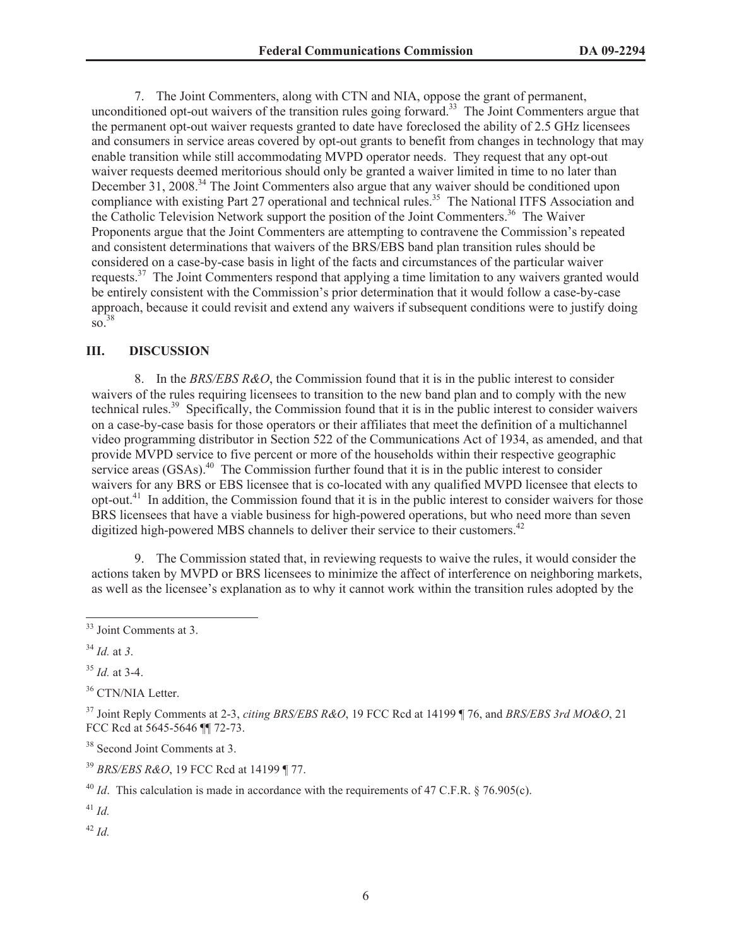7. The Joint Commenters, along with CTN and NIA, oppose the grant of permanent, unconditioned opt-out waivers of the transition rules going forward.<sup>33</sup> The Joint Commenters argue that the permanent opt-out waiver requests granted to date have foreclosed the ability of 2.5 GHz licensees and consumers in service areas covered by opt-out grants to benefit from changes in technology that may enable transition while still accommodating MVPD operator needs. They request that any opt-out waiver requests deemed meritorious should only be granted a waiver limited in time to no later than December 31, 2008.<sup>34</sup> The Joint Commenters also argue that any waiver should be conditioned upon compliance with existing Part 27 operational and technical rules.<sup>35</sup> The National ITFS Association and the Catholic Television Network support the position of the Joint Commenters.<sup>36</sup> The Waiver Proponents argue that the Joint Commenters are attempting to contravene the Commission's repeated and consistent determinations that waivers of the BRS/EBS band plan transition rules should be considered on a case-by-case basis in light of the facts and circumstances of the particular waiver requests.<sup>37</sup> The Joint Commenters respond that applying a time limitation to any waivers granted would be entirely consistent with the Commission's prior determination that it would follow a case-by-case approach, because it could revisit and extend any waivers if subsequent conditions were to justify doing  $\frac{1}{50}$ <sup>38</sup>

### **III. DISCUSSION**

8. In the *BRS/EBS R&O*, the Commission found that it is in the public interest to consider waivers of the rules requiring licensees to transition to the new band plan and to comply with the new technical rules.<sup>39</sup> Specifically, the Commission found that it is in the public interest to consider waivers on a case-by-case basis for those operators or their affiliates that meet the definition of a multichannel video programming distributor in Section 522 of the Communications Act of 1934, as amended, and that provide MVPD service to five percent or more of the households within their respective geographic service areas  $(GSAs)$ <sup>40</sup> The Commission further found that it is in the public interest to consider waivers for any BRS or EBS licensee that is co-located with any qualified MVPD licensee that elects to opt-out.<sup>41</sup> In addition, the Commission found that it is in the public interest to consider waivers for those BRS licensees that have a viable business for high-powered operations, but who need more than seven digitized high-powered MBS channels to deliver their service to their customers.<sup>42</sup>

9. The Commission stated that, in reviewing requests to waive the rules, it would consider the actions taken by MVPD or BRS licensees to minimize the affect of interference on neighboring markets, as well as the licensee's explanation as to why it cannot work within the transition rules adopted by the

<sup>35</sup> *Id.* at 3-4.

<sup>36</sup> CTN/NIA Letter.

<sup>37</sup> Joint Reply Comments at 2-3, *citing BRS/EBS R&O*, 19 FCC Rcd at 14199 ¶ 76, and *BRS/EBS 3rd MO&O*, 21 FCC Rcd at 5645-5646 ¶¶ 72-73.

<sup>38</sup> Second Joint Comments at 3.

<sup>39</sup> *BRS/EBS R&O*, 19 FCC Rcd at 14199 ¶ 77.

<sup>40</sup> *Id*. This calculation is made in accordance with the requirements of 47 C.F.R. § 76.905(c).

<sup>41</sup> *Id.*

<sup>42</sup> *Id.*

<sup>&</sup>lt;sup>33</sup> Joint Comments at 3.

<sup>34</sup> *Id.* at *3*.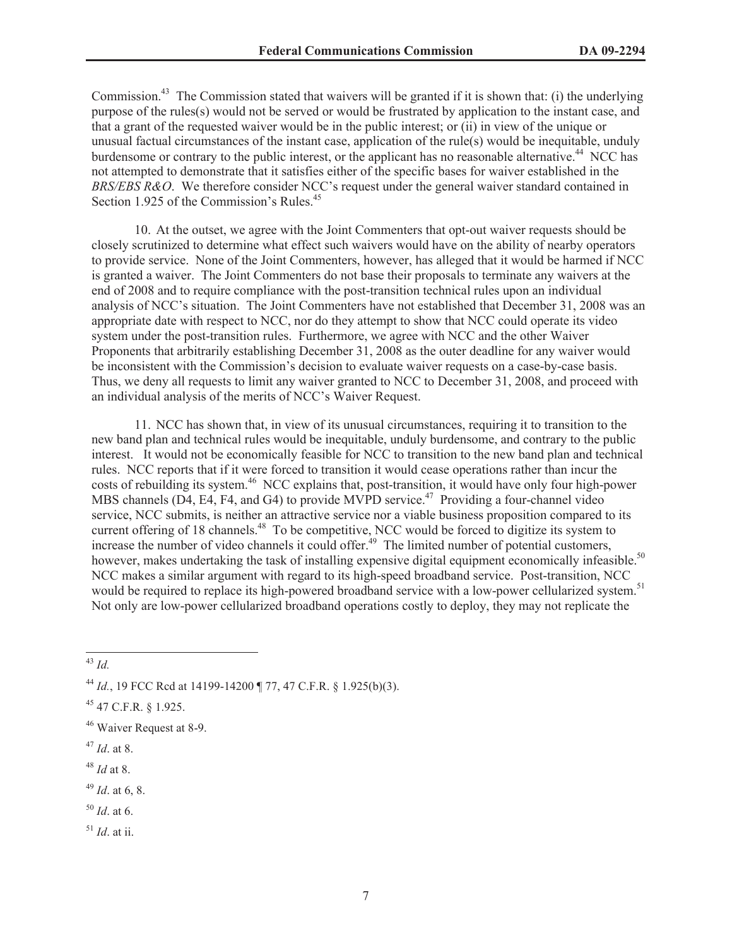Commission.<sup>43</sup> The Commission stated that waivers will be granted if it is shown that: (i) the underlying purpose of the rules(s) would not be served or would be frustrated by application to the instant case, and that a grant of the requested waiver would be in the public interest; or (ii) in view of the unique or unusual factual circumstances of the instant case, application of the rule(s) would be inequitable, unduly burdensome or contrary to the public interest, or the applicant has no reasonable alternative.<sup>44</sup> NCC has not attempted to demonstrate that it satisfies either of the specific bases for waiver established in the *BRS/EBS R&O*. We therefore consider NCC's request under the general waiver standard contained in Section 1.925 of the Commission's Rules.<sup>45</sup>

10. At the outset, we agree with the Joint Commenters that opt-out waiver requests should be closely scrutinized to determine what effect such waivers would have on the ability of nearby operators to provide service. None of the Joint Commenters, however, has alleged that it would be harmed if NCC is granted a waiver. The Joint Commenters do not base their proposals to terminate any waivers at the end of 2008 and to require compliance with the post-transition technical rules upon an individual analysis of NCC's situation. The Joint Commenters have not established that December 31, 2008 was an appropriate date with respect to NCC, nor do they attempt to show that NCC could operate its video system under the post-transition rules. Furthermore, we agree with NCC and the other Waiver Proponents that arbitrarily establishing December 31, 2008 as the outer deadline for any waiver would be inconsistent with the Commission's decision to evaluate waiver requests on a case-by-case basis. Thus, we deny all requests to limit any waiver granted to NCC to December 31, 2008, and proceed with an individual analysis of the merits of NCC's Waiver Request.

11. NCC has shown that, in view of its unusual circumstances, requiring it to transition to the new band plan and technical rules would be inequitable, unduly burdensome, and contrary to the public interest. It would not be economically feasible for NCC to transition to the new band plan and technical rules. NCC reports that if it were forced to transition it would cease operations rather than incur the costs of rebuilding its system.<sup>46</sup> NCC explains that, post-transition, it would have only four high-power MBS channels (D4, E4, F4, and G4) to provide MVPD service.<sup>47</sup> Providing a four-channel video service, NCC submits, is neither an attractive service nor a viable business proposition compared to its current offering of 18 channels.<sup>48</sup> To be competitive, NCC would be forced to digitize its system to increase the number of video channels it could offer.<sup>49</sup> The limited number of potential customers, however, makes undertaking the task of installing expensive digital equipment economically infeasible.<sup>50</sup> NCC makes a similar argument with regard to its high-speed broadband service. Post-transition, NCC would be required to replace its high-powered broadband service with a low-power cellularized system.<sup>51</sup> Not only are low-power cellularized broadband operations costly to deploy, they may not replicate the

- <sup>50</sup> *Id*. at 6.
- <sup>51</sup> *Id*. at ii.

<sup>43</sup> *Id.*

<sup>44</sup> *Id.*, 19 FCC Rcd at 14199-14200 ¶ 77, 47 C.F.R. § 1.925(b)(3).

<sup>45</sup> 47 C.F.R. § 1.925.

<sup>&</sup>lt;sup>46</sup> Waiver Request at 8-9.

<sup>47</sup> *Id*. at 8.

<sup>48</sup> *Id* at 8.

<sup>49</sup> *Id*. at 6, 8.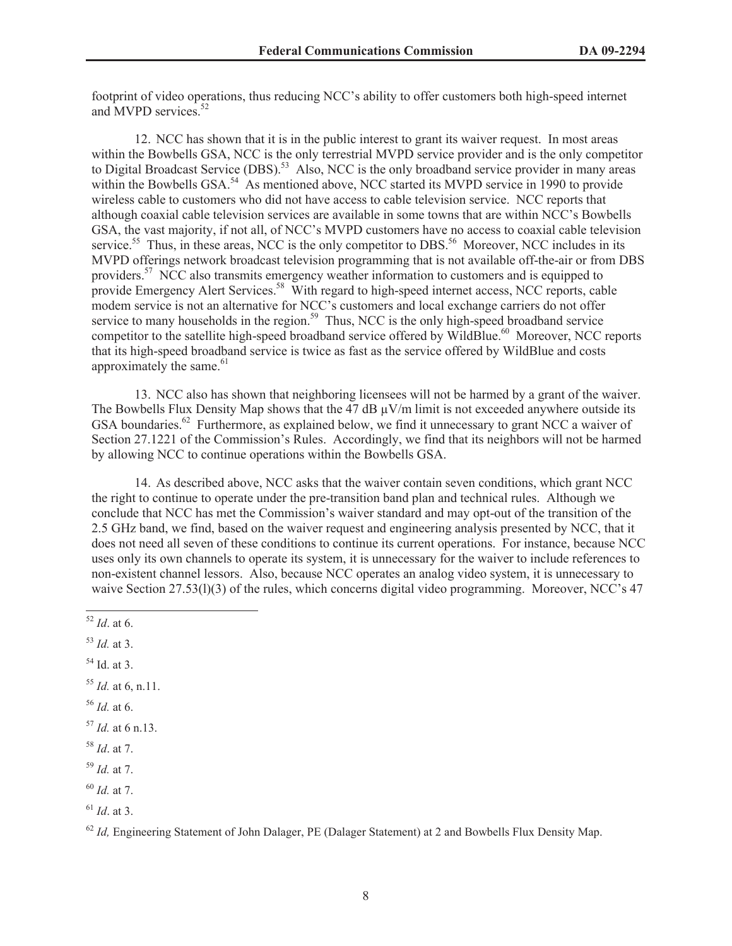footprint of video operations, thus reducing NCC's ability to offer customers both high-speed internet and MVPD services.<sup>52</sup>

12. NCC has shown that it is in the public interest to grant its waiver request. In most areas within the Bowbells GSA, NCC is the only terrestrial MVPD service provider and is the only competitor to Digital Broadcast Service (DBS).<sup>53</sup> Also, NCC is the only broadband service provider in many areas within the Bowbells GSA.<sup>54</sup> As mentioned above, NCC started its MVPD service in 1990 to provide wireless cable to customers who did not have access to cable television service. NCC reports that although coaxial cable television services are available in some towns that are within NCC's Bowbells GSA, the vast majority, if not all, of NCC's MVPD customers have no access to coaxial cable television service.<sup>55</sup> Thus, in these areas, NCC is the only competitor to DBS.<sup>56</sup> Moreover, NCC includes in its MVPD offerings network broadcast television programming that is not available off-the-air or from DBS providers.<sup>57</sup> NCC also transmits emergency weather information to customers and is equipped to provide Emergency Alert Services.<sup>58</sup> With regard to high-speed internet access, NCC reports, cable modem service is not an alternative for NCC's customers and local exchange carriers do not offer service to many households in the region.<sup>59</sup> Thus, NCC is the only high-speed broadband service competitor to the satellite high-speed broadband service offered by WildBlue.<sup>60</sup> Moreover, NCC reports that its high-speed broadband service is twice as fast as the service offered by WildBlue and costs approximately the same. $61$ 

13. NCC also has shown that neighboring licensees will not be harmed by a grant of the waiver. The Bowbells Flux Density Map shows that the 47 dB  $\mu$ V/m limit is not exceeded anywhere outside its GSA boundaries.<sup>62</sup> Furthermore, as explained below, we find it unnecessary to grant NCC a waiver of Section 27.1221 of the Commission's Rules. Accordingly, we find that its neighbors will not be harmed by allowing NCC to continue operations within the Bowbells GSA.

14. As described above, NCC asks that the waiver contain seven conditions, which grant NCC the right to continue to operate under the pre-transition band plan and technical rules. Although we conclude that NCC has met the Commission's waiver standard and may opt-out of the transition of the 2.5 GHz band, we find, based on the waiver request and engineering analysis presented by NCC, that it does not need all seven of these conditions to continue its current operations. For instance, because NCC uses only its own channels to operate its system, it is unnecessary for the waiver to include references to non-existent channel lessors. Also, because NCC operates an analog video system, it is unnecessary to waive Section 27.53(l)(3) of the rules, which concerns digital video programming. Moreover, NCC's 47

- <sup>55</sup> *Id.* at 6, n.11.
- <sup>56</sup> *Id.* at 6.
- <sup>57</sup> *Id.* at 6 n.13.
- <sup>58</sup> *Id*. at 7.
- <sup>59</sup> *Id.* at 7.
- <sup>60</sup> *Id.* at 7.
- <sup>61</sup> *Id*. at 3.

<sup>62</sup> *Id*, Engineering Statement of John Dalager, PE (Dalager Statement) at 2 and Bowbells Flux Density Map.

<sup>52</sup> *Id*. at 6.

<sup>53</sup> *Id.* at 3.

<sup>54</sup> Id. at 3.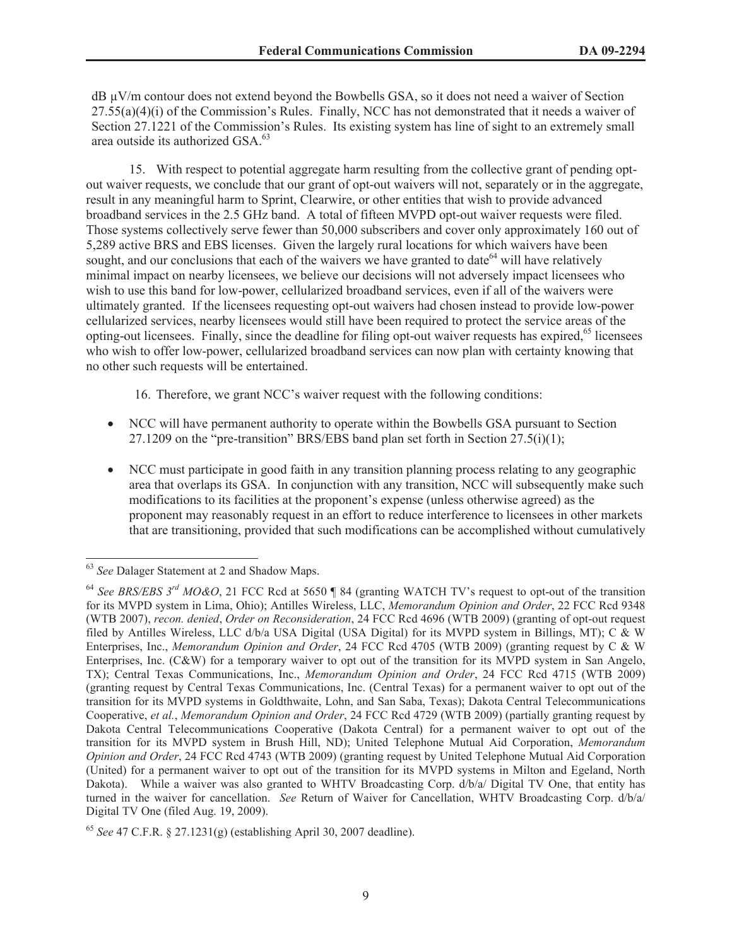$dB \mu V/m$  contour does not extend beyond the Bowbells GSA, so it does not need a waiver of Section  $27.55(a)(4)(i)$  of the Commission's Rules. Finally, NCC has not demonstrated that it needs a waiver of Section 27.1221 of the Commission's Rules. Its existing system has line of sight to an extremely small area outside its authorized GSA.<sup>63</sup>

15. With respect to potential aggregate harm resulting from the collective grant of pending optout waiver requests, we conclude that our grant of opt-out waivers will not, separately or in the aggregate, result in any meaningful harm to Sprint, Clearwire, or other entities that wish to provide advanced broadband services in the 2.5 GHz band. A total of fifteen MVPD opt-out waiver requests were filed. Those systems collectively serve fewer than 50,000 subscribers and cover only approximately 160 out of 5,289 active BRS and EBS licenses. Given the largely rural locations for which waivers have been sought, and our conclusions that each of the waivers we have granted to date  $64$  will have relatively minimal impact on nearby licensees, we believe our decisions will not adversely impact licensees who wish to use this band for low-power, cellularized broadband services, even if all of the waivers were ultimately granted. If the licensees requesting opt-out waivers had chosen instead to provide low-power cellularized services, nearby licensees would still have been required to protect the service areas of the opting-out licensees. Finally, since the deadline for filing opt-out waiver requests has expired,<sup>65</sup> licensees who wish to offer low-power, cellularized broadband services can now plan with certainty knowing that no other such requests will be entertained.

16. Therefore, we grant NCC's waiver request with the following conditions:

- · NCC will have permanent authority to operate within the Bowbells GSA pursuant to Section 27.1209 on the "pre-transition" BRS/EBS band plan set forth in Section  $27.5(i)(1)$ ;
- · NCC must participate in good faith in any transition planning process relating to any geographic area that overlaps its GSA. In conjunction with any transition, NCC will subsequently make such modifications to its facilities at the proponent's expense (unless otherwise agreed) as the proponent may reasonably request in an effort to reduce interference to licensees in other markets that are transitioning, provided that such modifications can be accomplished without cumulatively

<sup>63</sup> *See* Dalager Statement at 2 and Shadow Maps.

<sup>64</sup> *See BRS/EBS 3rd MO&O*, 21 FCC Rcd at 5650 ¶ 84 (granting WATCH TV's request to opt-out of the transition for its MVPD system in Lima, Ohio); Antilles Wireless, LLC, *Memorandum Opinion and Order*, 22 FCC Rcd 9348 (WTB 2007), *recon. denied*, *Order on Reconsideration*, 24 FCC Rcd 4696 (WTB 2009) (granting of opt-out request filed by Antilles Wireless, LLC d/b/a USA Digital (USA Digital) for its MVPD system in Billings, MT); C & W Enterprises, Inc., *Memorandum Opinion and Order*, 24 FCC Rcd 4705 (WTB 2009) (granting request by C & W Enterprises, Inc. (C&W) for a temporary waiver to opt out of the transition for its MVPD system in San Angelo, TX); Central Texas Communications, Inc., *Memorandum Opinion and Order*, 24 FCC Rcd 4715 (WTB 2009) (granting request by Central Texas Communications, Inc. (Central Texas) for a permanent waiver to opt out of the transition for its MVPD systems in Goldthwaite, Lohn, and San Saba, Texas); Dakota Central Telecommunications Cooperative, *et al.*, *Memorandum Opinion and Order*, 24 FCC Rcd 4729 (WTB 2009) (partially granting request by Dakota Central Telecommunications Cooperative (Dakota Central) for a permanent waiver to opt out of the transition for its MVPD system in Brush Hill, ND); United Telephone Mutual Aid Corporation, *Memorandum Opinion and Order*, 24 FCC Rcd 4743 (WTB 2009) (granting request by United Telephone Mutual Aid Corporation (United) for a permanent waiver to opt out of the transition for its MVPD systems in Milton and Egeland, North Dakota). While a waiver was also granted to WHTV Broadcasting Corp. d/b/a/ Digital TV One, that entity has turned in the waiver for cancellation. *See* Return of Waiver for Cancellation, WHTV Broadcasting Corp. d/b/a/ Digital TV One (filed Aug. 19, 2009).

<sup>65</sup> *See* 47 C.F.R. § 27.1231(g) (establishing April 30, 2007 deadline).